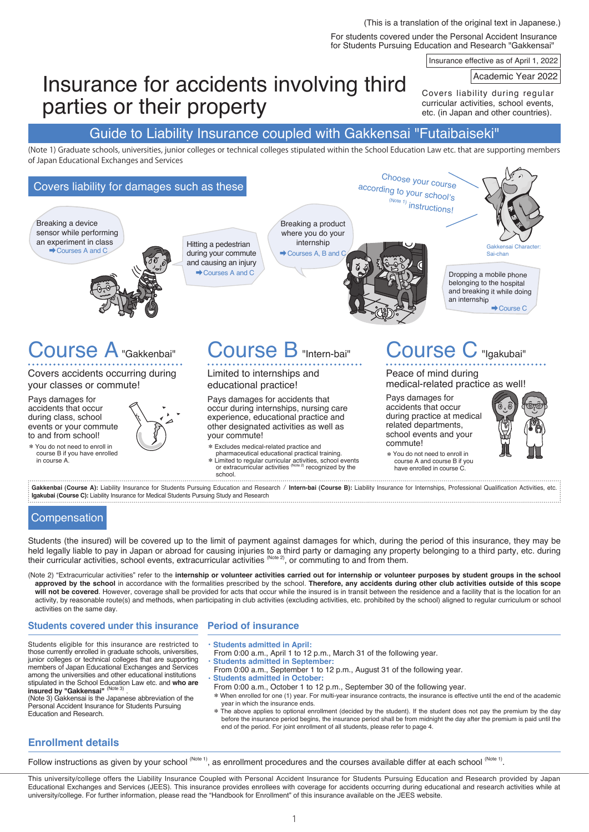For students covered under the Personal Accident Insurance for Students Pursuing Education and Research "Gakkensai" (This is a translation of the original text in Japanese.)

Insurance effective as of April 1, 2022

Academic Year 2022

# Insurance for accidents involving third parties or their property

Covers liability during regular curricular activities, school events, etc. (in Japan and other countries).

## Guide to Liability Insurance coupled with Gakkensai "Futaibaiseki"

(Note 1) Graduate schools, universities, junior colleges or technical colleges stipulated within the School Education Law etc. that are supporting members of Japan Educational Exchanges and Services

#### Course B "Intern-bai" Limited to internships and educational practice! Pays damages for accidents that occur during internships, nursing care experience, educational practice and other designated activities as well as your commute! \*Excludes medical-related practice and pharmaceutical educational practical training. \*Limited to regular curricular activities, school events or extracurricular activities (Note 2) recognized by the school. Course C "Igakubai" Peace of mind during medical-related practice as well! Pays damages for accidents that occur during practice at medical related departments, school events and your commute! \*You do not need to enroll in course A and course B if you have enrolled in course C. Course A"Gakkenbai" Covers accidents occurring during your classes or commute! Pays damages for accidents that occur during class, school events or your commute to and from school! \*You do not need to enroll in course B if you have enrolled in course A. Covers liability for damages such as these Dropping a mobile phone belonging to the hospital and breaking it while doing an internship ➡Course C Breaking a device sensor while performing an experiment in class experiment in class<br>
→ Courses A and C<br>
→ Courses A and C during your commute and causing an injury ➡Courses A and C Breaking a product where you do your internship  $\rightarrow$  Courses A, B and Choose your course according to your school's  $\sum_{(Note 1)}$  instructions! Charac Sai-chan

Gakkenbai (Course A): Liability Insurance for Students Pursuing Education and Research / Intern-bai (Course B): Liability Insurance for Internships, Professional Qualification Activities, etc. **Igakubai (Course C):** Liability Insurance for Medical Students Pursuing Study and Research 

## **Compensation**

Students (the insured) will be covered up to the limit of payment against damages for which, during the period of this insurance, they may be held legally liable to pay in Japan or abroad for causing injuries to a third party or damaging any property belonging to a third party, etc. during their curricular activities, school events, extracurricular activities  $^{(Note 2)}$ , or commuting to and from them.

(Note 2) "Extracurricular activities" refer to the **internship or volunteer activities carried out for internship or volunteer purposes by student groups in the school approved by the school** in accordance with the formalities prescribed by the school. **Therefore, any accidents during other club activities outside of this scope will not be covered**. However, coverage shall be provided for acts that occur while the insured is in transit between the residence and a facility that is the location for an activity, by reasonable route(s) and methods, when participating in club activities (excluding activities, etc. prohibited by the school) aligned to regular curriculum or school activities on the same day.

## **Students covered under this insurance**

Students eligible for this insurance are restricted to those currently enrolled in graduate schools, universities, junior colleges or technical colleges that are supporting members of Japan Educational Exchanges and Services among the universities and other educational institutions stipulated in the School Education Law etc. and **who are**  insured by "Gakkensai" (Note 3)

(Note 3) Gakkensai is the Japanese abbreviation of the Personal Accident Insurance for Students Pursuing Education and Research.

## **Period of insurance**

- ・**Students admitted in April:** From 0:00 a.m., April 1 to 12 p.m., March 31 of the following year.
- **Students admitted in September:**
- From 0:00 a.m., September 1 to 12 p.m., August 31 of the following year.
- **Students admitted in October:** 
	- From 0:00 a.m., October 1 to 12 p.m., September 30 of the following year.
	- \*When enrolled for one (1) year. For multi-year insurance contracts, the insurance is effective until the end of the academic year in which the insurance ends.
	- \* The above applies to optional enrollment (decided by the student). If the student does not pay the premium by the day before the insurance period begins, the insurance period shall be from midnight the day after the premium is paid until the end of the period. For joint enrollment of all students, please refer to page 4.

## **Enrollment details**

Follow instructions as given by your school (Note 1), as enrollment procedures and the courses available differ at each school (Note 1).

This university/college offers the Liability Insurance Coupled with Personal Accident Insurance for Students Pursuing Education and Research provided by Japan Educational Exchanges and Services (JEES). This insurance provides enrollees with coverage for accidents occurring during educational and research activities while at university/college. For further information, please read the "Handbook for Enrollment" of this insurance available on the JEES website.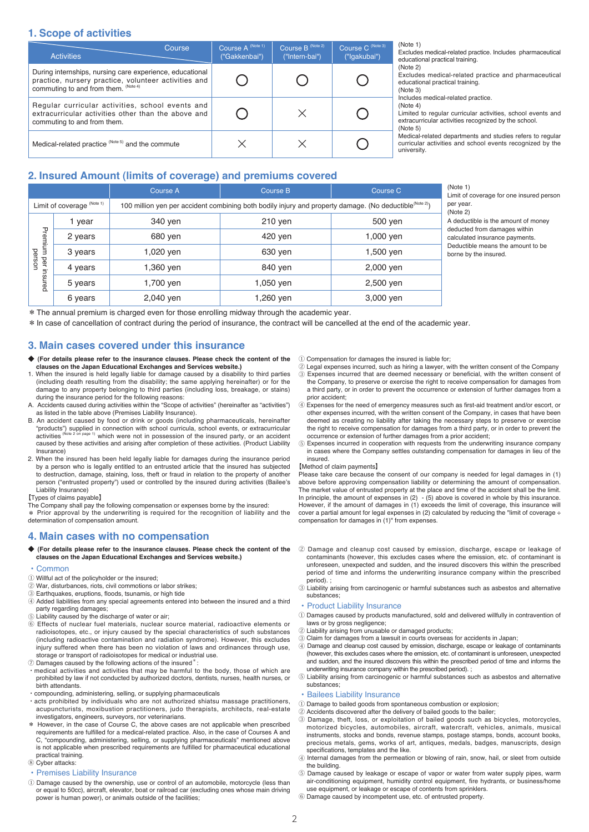## **1. Scope of activities**

| <b>Activities</b>                                                                                                                                        | Course | Course A (Note 1)<br>("Gakkenbai") | Course B <sup>(Note 2)</sup><br>("Intern-bai") | Course C (Note 3)<br>("Iqakubai") |
|----------------------------------------------------------------------------------------------------------------------------------------------------------|--------|------------------------------------|------------------------------------------------|-----------------------------------|
| During internships, nursing care experience, educational<br>practice, nursery practice, volunteer activities and<br>commuting to and from them. (Note 4) |        |                                    |                                                |                                   |
| Regular curricular activities, school events and<br>extracurricular activities other than the above and<br>commuting to and from them.                   |        |                                    |                                                |                                   |
| Medical-related practice (Note 5) and the commute                                                                                                        |        |                                    |                                                |                                   |

(Note 1)

Excludes medical-related practice. Includes pharmaceutical educational practical training.

(Note 2)

Excludes medical-related practice and pharmaceutical educational practical training. (Note 3)

Includes medical-related practice.

(Note 4)

Limited to regular curricular activities, school events and extracurricular activities recognized by the school.  $(Not@5)$ 

Medical-related departments and studies refers to regular curricular activities and school events recognized by the university.

borne by the insured.

Limit of coverage for one insured person

A deductible is the amount of money deducted from damages within calculated insurance payments. Deductible means the amount to be

## **2. Insured Amount (limits of coverage) and premiums covered**

|         |                            | Course A                                                                                                            | Course B  | Course C  |  |  |
|---------|----------------------------|---------------------------------------------------------------------------------------------------------------------|-----------|-----------|--|--|
|         | Limit of coverage (Note 1) | 100 million yen per accident combining both bodily injury and property damage. (No deductible <sup>(Note 2)</sup> ) |           |           |  |  |
|         | 1 year                     | 340 yen                                                                                                             | 210 yen   | 500 yen   |  |  |
| Premium | 2 years                    | 680 yen                                                                                                             | 420 ven   | 1,000 yen |  |  |
| person  | 3 years                    | 1,020 ven                                                                                                           | 630 yen   | 1,500 yen |  |  |
| peri    | 4 years                    | 1,360 ven                                                                                                           | 840 yen   | 2,000 yen |  |  |
| nsured  | 5 years                    | 1,700 ven                                                                                                           | 1,050 ven | 2,500 yen |  |  |
|         | 6 years                    | 2,040 yen                                                                                                           | 1,260 yen | 3,000 yen |  |  |

\*The annual premium is charged even for those enrolling midway through the academic year.

\*In case of cancellation of contract during the period of insurance, the contract will be cancelled at the end of the academic year.

## **3. Main cases covered under this insurance**

- ◆ (For details please refer to the insurance clauses. Please check the content of the **clauses on the Japan Educational Exchanges and Services website.)**
- 1. When the insured is held legally liable for damage caused by a disability to third parties (including death resulting from the disability; the same applying hereinafter) or for the damage to any property belonging to third parties (including loss, breakage, or stains) during the insurance period for the following reasons:
- A. Accidents caused during activities within the "Scope of activities" (hereinafter as "activities") as listed in the table above (Premises Liability Insurance).
- B. An accident caused by food or drink or goods (including pharmaceuticals, hereinafter "products") supplied in connection with school curricula, school events, or extracurricular<br>activities <sup>(Note 2 on page 1)</sup> which were not in possession of the insured party, or an accident caused by these activities and arising after completion of these activities. (Product Liability Insurance)
- 2. When the insured has been held legally liable for damages during the insurance period by a person who is legally entitled to an entrusted article that the insured has subjected to destruction, damage, staining, loss, theft or fraud in relation to the property of another person ("entrusted property") used or controlled by the insured during activities (Bailee's Liability Insurance)

【Types of claims payable】

The Company shall pay the following compensation or expenses borne by the insured: \* Prior approval by the underwriting is required for the recognition of liability and the determination of compensation amount.

## **4. Main cases with no compensation**

◆ **(For details please refer to the insurance clauses. Please check the content of the clauses on the Japan Educational Exchanges and Services website.)**

## • Common

- ① Willful act of the policyholder or the insured;
- ② War, disturbances, riots, civil commotions or labor strikes;
- ③ Earthquakes, eruptions, floods, tsunamis, or high tide
- ④ Added liabilities from any special agreements entered into between the insured and a third party regarding damages;
- ⑤ Liability caused by the discharge of water or air;
- ⑥ Effects of nuclear fuel materials, nuclear source material, radioactive elements or radioisotopes, etc., or injury caused by the special characteristics of such substances (including radioactive contamination and radiation syndrome). However, this excludes injury suffered when there has been no violation of laws and ordinances through use, storage or transport of radioisotopes for medical or industrial use.
- ⑦ Damages caused by the following actions of the insured\*:
- medical activities and activities that may be harmful to the body, those of which are prohibited by law if not conducted by authorized doctors, dentists, nurses, health nurses, or birth attendants.
- compounding, administering, selling, or supplying pharmaceuticals
- acts prohibited by individuals who are not authorized shiatsu massage practitioners, acupuncturists, moxibustion practitioners, judo therapists, architects, real-estate investigators, engineers, surveyors, nor veterinarians. \* However, in the case of Course C, the above cases are not applicable when prescribed
- requirements are fulfilled for a medical-related practice. Also, in the case of Courses A and C, "compounding, administering, selling, or supplying pharmaceuticals" mentioned above is not applicable when prescribed requirements are fulfilled for pharmaceutical educational practical training.

⑧ Cyber attacks:

## • Premises Liability Insurance

① Damage caused by the ownership, use or control of an automobile, motorcycle (less than or equal to 50cc), aircraft, elevator, boat or railroad car (excluding ones whose main driving power is human power), or animals outside of the facilities;

- ① Compensation for damages the insured is liable for;
- $\widehat{\odot}$  Legal expenses incurred, such as hiring a lawyer, with the written consent of the Company  $\widehat{\odot}$  Expenses incurred that are deemed necessary or beneficial with the written consent of
- ③ Expenses incurred that are deemed necessary or beneficial, with the written consent of the Company, to preserve or exercise the right to receive compensation for damages from a third party, or in order to prevent the occurrence or extension of further damages from a prior accident;
- ④ Expenses for the need of emergency measures such as first-aid treatment and/or escort, or other expenses incurred, with the written consent of the Company, in cases that have been deemed as creating no liability after taking the necessary steps to preserve or exercise the right to receive compensation for damages from a third party, or in order to prevent the occurrence or extension of further damages from a prior accident;
- ⑤ Expenses incurred in cooperation with requests from the underwriting insurance company in cases where the Company settles outstanding compensation for damages in lieu of the insured.

#### 【Method of claim payments】

Please take care because the consent of our company is needed for legal damages in (1) above before approving compensation liability or determining the amount of compensation. The market value of entrusted property at the place and time of the accident shall be the limit. In principle, the amount of expenses in (2) - (5) above is covered in whole by this insurance. However, if the amount of damages in (1) exceeds the limit of coverage, this insurance will cover a partial amount for legal expenses in (2) calculated by reducing the "limit of coverage ÷ compensation for damages in (1)" from expenses.

- ② Damage and cleanup cost caused by emission, discharge, escape or leakage of contaminants (however, this excludes cases where the emission, etc. of contaminant is unforeseen, unexpected and sudden, and the insured discovers this within the prescribed period of time and informs the underwriting insurance company within the prescribed .<br>period).
- ③ Liability arising from carcinogenic or harmful substances such as asbestos and alternative substances;

## • Product Liability Insurance

- ① Damages caused by products manufactured, sold and delivered willfully in contravention of laws or by gross negligence;
- ② Liability arising from unusable or damaged products;
- ③ Claim for damages from a lawsuit in courts overseas for accidents in Japan;
- ④ Damage and cleanup cost caused by emission, discharge, escape or leakage of contaminants (however, this excludes cases where the emission, etc. of contaminant is unforeseen, unexpected and sudden, and the insured discovers this within the prescribed period of time and informs the underwriting insurance company within the prescribed period).
- ⑤ Liability arising from carcinogenic or harmful substances such as asbestos and alternative substances;

## • Bailees Liability Insurance

- ① Damage to bailed goods from spontaneous combustion or explosion;
- ② Accidents discovered after the delivery of bailed goods to the bailer; ③ Damage, theft, loss, or exploitation of bailed goods such as bicycles, motorcycles, motorized bicycles, automobiles, aircraft, watercraft, vehicles, animals, musical instruments, stocks and bonds, revenue stamps, postage stamps, bonds, account books, precious metals, gems, works of art, antiques, medals, badges, manuscripts, design specifications, templates and the like.
- ④ Internal damages from the permeation or blowing of rain, snow, hail, or sleet from outside the building.
- ⑤ Damage caused by leakage or escape of vapor or water from water supply pipes, warm air-conditioning equipment, humidity control equipment, fire hydrants, or business/home use equipment, or leakage or escape of contents from sprinklers.
- ⑥ Damage caused by incompetent use, etc. of entrusted property.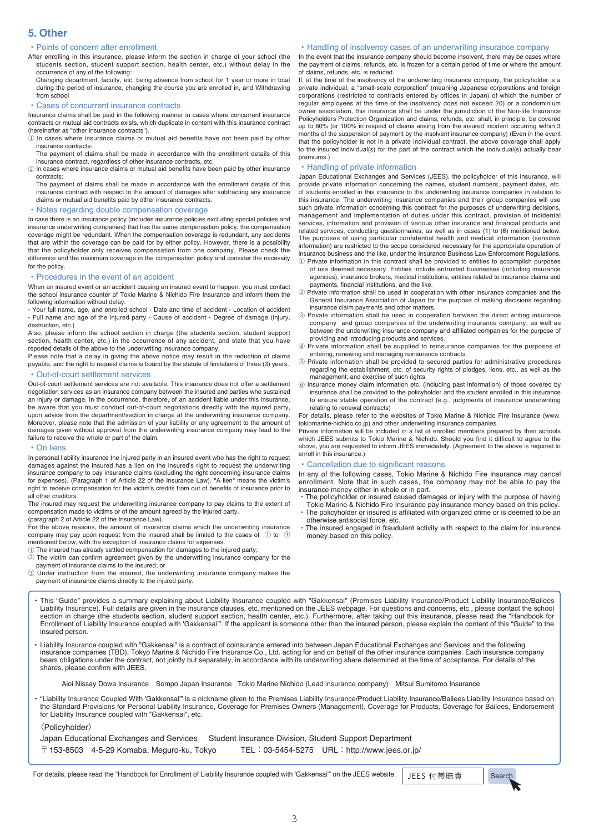## **5. Other**

## • Points of concern after enrollment

- After enrolling in this insurance, please inform the section in charge of your school (the students section, student support section, health center, etc.) without delay in the occurrence of any of the following:
	- Changing department, faculty, etc, being absence from school for 1 year or more in total during the period of insurance, changing the course you are enrolled in, and Withdrawing from school

## • Cases of concurrent insurance contracts

Insurance claims shall be paid in the following manner in cases where concurrent insurance contracts or mutual aid contracts exists, which duplicate in content with this insurance contract (hereinafter as "other insurance contracts").

- $\Omega$  In cases where insurance claims or mutual aid benefits have not been paid by other insurance contracts:
- The payment of claims shall be made in accordance with the enrollment details of this insurance contract, regardless of other insurance contracts, etc.
- ② In cases where insurance claims or mutual aid benefits have been paid by other insurance contracts:

The payment of claims shall be made in accordance with the enrollment details of this insurance contract with respect to the amount of damages after subtracting any insurance claims or mutual aid benefits paid by other insurance contracts.

## • Notes regarding double compensation coverage

In case there is an insurance policy (includes insurance policies excluding special policies and insurance underwriting companies) that has the same compensation policy, the compensation coverage might be redundant. When the compensation coverage is redundant, any accidents that are within the coverage can be paid for by either policy. However, there is a possibility that the policyholder only receives compensation from one company. Please check the difference and the maximum coverage in the compensation policy and consider the necessity for the policy.

### • Procedures in the event of an accident

When an insured event or an accident causing an insured event to happen, you must contact the school insurance counter of Tokio Marine & Nichido Fire Insurance and inform them the following information without delay.

- Your full name, age, and enrolled school - Date and time of accident - Location of accident - Full name and age of the injured party - Cause of accident - Degree of damage (injury, destruction, etc.)

Also, please inform the school section in charge (the students section, student support section, health center, etc.) in the occurrence of any accident, and state that you have reported details of the above to the underwriting insurance company.

Please note that a delay in giving the above notice may result in the reduction of claims payable, and the right to request claims is bound by the statute of limitations of three (3) years.

## • Out-of-court settlement services

Out-of-court settlement services are not available. This insurance does not offer a settlement negotiation services as an insurance company between the insured and parties who sustained an injury or damage. In the occurrence, therefore, of an accident liable under this insurance, be aware that you must conduct out-of-court negotiations directly with the injured party, upon advice from the department/section in charge at the underwriting insurance company. Moreover, please note that the admission of your liability or any agreement to the amount of damages given without approval from the underwriting insurance company may lead to the failure to receive the whole or part of the claim.

#### • On liens

In personal liability insurance the injured party in an insured event who has the right to request damages against the insured has a lien on the insured's right to request the underwriting insurance company to pay insurance claims (excluding the right concerning insurance claims for expenses). (Paragraph 1 of Article 22 of the Insurance Law). "A lien" means the victim's right to receive compensation for the victim's credits from out of benefits of insurance prior to all other creditors.

The insured may request the underwriting insurance company to pay claims to the extent of compensation made to victims or of the amount agreed by the injured party.

(paragraph 2 of Article 22 of the Insurance Law).

For the above reasons, the amount of insurance claims which the underwriting insurance company may pay upon request from the insured shall be limited to the cases of  $\odot$  to  $\odot$ mentioned below, with the exception of insurance claims for expenses.

① The insured has already settled compensation for damages to the injured party;

② The victim can confirm agreement given by the underwriting insurance company for the payment of insurance claims to the insured; or

③ Under instruction from the insured, the underwriting insurance company makes the payment of insurance claims directly to the injured party.

### • Handling of insolvency cases of an underwriting insurance company

In the event that the insurance company should become insolvent, there may be cases where the payment of claims, refunds, etc. is frozen for a certain period of time or where the amount of claims, refunds, etc. is reduced.

If, at the time of the insolvency of the underwriting insurance company, the policyholder is a private individual, a "small-scale corporation" (meaning Japanese corporations and foreign corporations (restricted to contracts entered by offices in Japan) of which the number of regular employees at the time of the insolvency does not exceed 20) or a condominium owner association, this insurance shall be under the jurisdiction of the Non-life Insurance Policyholders Protection Organization and claims, refunds, etc. shall, in principle, be covered up to 80% (or 100% in respect of claims arising from the insured incident occurring within 3 months of the suspension of payment by the insolvent insurance company) (Even in the event that the policyholder is not in a private individual contract, the above coverage shall apply to the insured individual(s) for the part of the contract which the individual(s) actually bear premiums.)

## • Handling of private information

Japan Educational Exchanges and Services (JEES), the policyholder of this insurance, will provide private information concerning the names, student numbers, payment dates, etc. of students enrolled in this insurance to the underwriting insurance companies in relation to this insurance. The underwriting insurance companies and their group companies will use such private information concerning this contract for the purposes of underwriting decisions, management and implementation of duties under this contract, provision of incidental services, information and provision of various other insurance and financial products and related services, conducting questionnaires, as well as in cases (1) to (6) mentioned below. The purposes of using particular confidential health and medical information (sensitive information) are restricted to the scope considered necessary for the appropriate operation of insurance business and the like, under the Insurance Business Law Enforcement Regulations. ① Private information in this contract shall be provided to entities to accomplish purposes

- of use deemed necessary. Entities include entrusted businesses (including insurance agencies), insurance brokers, medical institutions, entities related to insurance claims and payments, financial institutions, and the like.
- ② Private information shall be used in cooperation with other insurance companies and the General Insurance Association of Japan for the purpose of making decisions regarding insurance claim payments and other matters.
- ③ Private information shall be used in cooperation between the direct writing insurance company and group companies of the underwriting insurance company, as well as between the underwriting insurance company and affiliated companies for the purpose of providing and introducing products and services.
- ④ Private information shall be supplied to reinsurance companies for the purposes of entering, renewing and managing reinsurance contracts.
- ⑤ Private information shall be provided to secured parties for administrative procedures regarding the establishment, etc. of security rights of pledges, liens, etc., as well as the management, and exercise of such rights.
- ⑥ Insurance money claim information etc. (including past information) of those covered by insurance shall be provided to the policyholder and the student enrolled in this insurance to ensure stable operation of the contract (e.g., judgments of insurance underwriting relating to renewal contracts)

For details, please refer to the websites of Tokio Marine & Nichido Fire Insurance (www. tokiomarine-nichido.co.jp) and other underwriting insurance companies.

Private information will be included in a list of enrolled members prepared by their schools which JEES submits to Tokio Marine & Nichido. Should you find it difficult to agree to the above, you are requested to inform JEES immediately. (Agreement to the above is required to enroll in this insurance.)

## • Cancellation due to significant reasons

In any of the following cases, Tokio Marine & Nichido Fire Insurance may cancel enrollment. Note that in such cases, the company may not be able to pay the insurance money either in whole or in part.

- ・ The policyholder or insured caused damages or injury with the purpose of having Tokio Marine & Nichido Fire Insurance pay insurance money based on this policy.
- ・ The policyholder or insured is affiliated with organized crime or is deemed to be an otherwise antisocial force, etc.
- The insured engaged in fraudulent activity with respect to the claim for insurance money based on this policy.

• This "Guide" provides a summary explaining about Liability Insurance coupled with "Gakkensai" (Premises Liability Insurance/Product Liability Insurance/Bailees Liability Insurance). Full details are given in the insurance clauses, etc. mentioned on the JEES webpage. For questions and concerns, etc., please contact the school<br>section in charge (the students section, student suppor Enrollment of Liability Insurance coupled with 'Gakkensai'". If the applicant is someone other than the insured person, please explain the content of this "Guide" to the insured person.

• Liability Insurance coupled with "Gakkensai" is a contract of coinsurance entered into between Japan Educational Exchanges and Services and the following<br>insurance companies (TBD), Tokyo Marine & Nichido Fire Insurance C bears obligations under the contract, not jointly but separately, in accordance with its underwriting share determined at the time of acceptance. For details of the shares, please confirm with JEES.

Aioi Nissay Dowa Insurance Sompo Japan Insurance Tokio Marine Nichido (Lead insurance company) Mitsui Sumitomo Insurance

• "Liability Insurance Coupled With 'Gakkensai'" is a nickname given to the Premises Liability Insurance/Product Liability Insurance/Bailees Liability Insurance based on the Standard Provisions for Personal Liability Insurance, Coverage for Premises Owners (Management), Coverage for Products, Coverage for Bailees, Endorsement for Liability Insurance coupled with "Gakkensai", etc.

## 〈Policyholder〉

| Japan Educational Exchanges and Services                   |  | Student Insurance Division, Student Support Department |
|------------------------------------------------------------|--|--------------------------------------------------------|
| $\overline{\top}$ 153-8503 4-5-29 Komaba, Meguro-ku, Tokyo |  | TEL: 03-5454-5275 URL: http://www.jees.or.jp/          |

For details, please read the "Handbook for Enrollment of Liability Insurance coupled with 'Gakkensai'" on the JEES website. | JEES 付帯賠責 Search